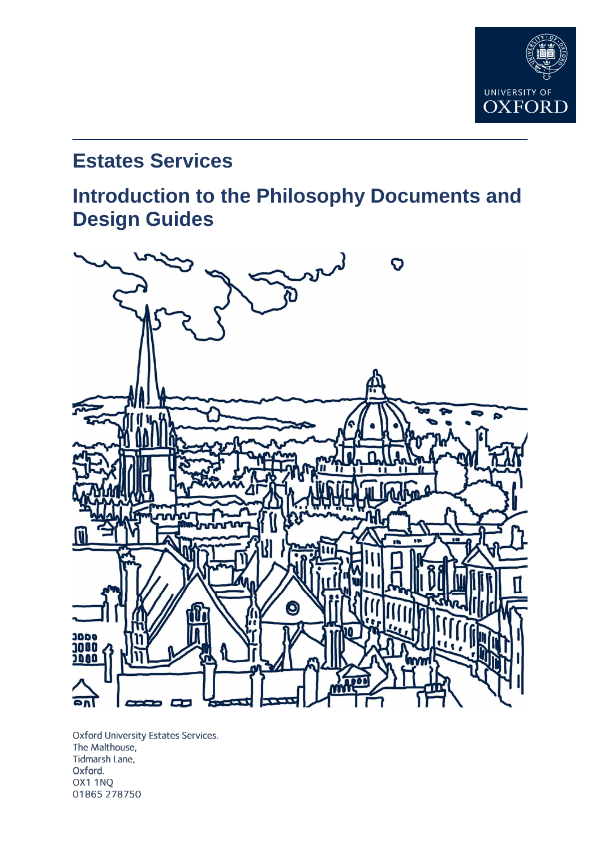

# **Estates Services**

# **Introduction to the Philosophy Documents and Design Guides**



Oxford University Estates Services. The Malthouse, Tidmarsh Lane, Oxford. OX1 1NQ 01865 278750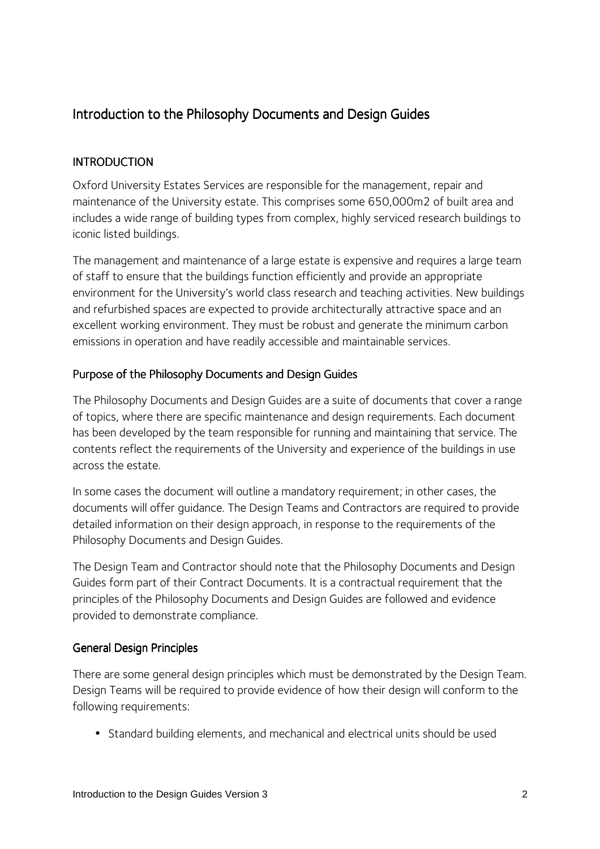# Introduction to the Philosophy Documents and Design Guides

## **INTRODUCTION**

Oxford University Estates Services are responsible for the management, repair and maintenance of the University estate. This comprises some 650,000m2 of built area and includes a wide range of building types from complex, highly serviced research buildings to iconic listed buildings.

The management and maintenance of a large estate is expensive and requires a large team of staff to ensure that the buildings function efficiently and provide an appropriate environment for the University's world class research and teaching activities. New buildings and refurbished spaces are expected to provide architecturally attractive space and an excellent working environment. They must be robust and generate the minimum carbon emissions in operation and have readily accessible and maintainable services.

### Purpose of the Philosophy Documents and Design Guides

The Philosophy Documents and Design Guides are a suite of documents that cover a range of topics, where there are specific maintenance and design requirements. Each document has been developed by the team responsible for running and maintaining that service. The contents reflect the requirements of the University and experience of the buildings in use across the estate.

In some cases the document will outline a mandatory requirement; in other cases, the documents will offer guidance. The Design Teams and Contractors are required to provide detailed information on their design approach, in response to the requirements of the Philosophy Documents and Design Guides.

The Design Team and Contractor should note that the Philosophy Documents and Design Guides form part of their Contract Documents. It is a contractual requirement that the principles of the Philosophy Documents and Design Guides are followed and evidence provided to demonstrate compliance.

#### General Design Principles

There are some general design principles which must be demonstrated by the Design Team. Design Teams will be required to provide evidence of how their design will conform to the following requirements:

• Standard building elements, and mechanical and electrical units should be used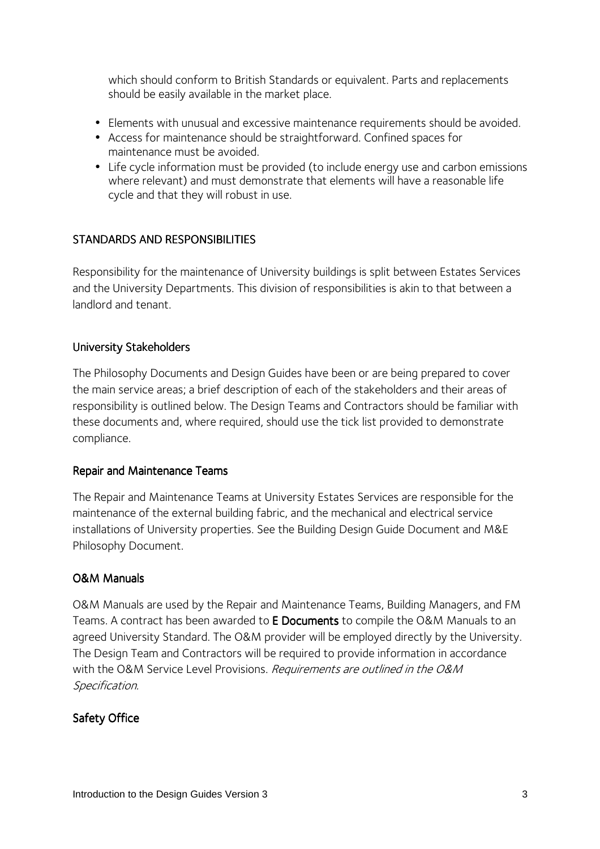which should conform to British Standards or equivalent. Parts and replacements should be easily available in the market place.

- Elements with unusual and excessive maintenance requirements should be avoided.
- Access for maintenance should be straightforward. Confined spaces for maintenance must be avoided.
- Life cycle information must be provided (to include energy use and carbon emissions where relevant) and must demonstrate that elements will have a reasonable life cycle and that they will robust in use.

# STANDARDS AND RESPONSIBILITIES

Responsibility for the maintenance of University buildings is split between Estates Services and the University Departments. This division of responsibilities is akin to that between a landlord and tenant.

# University Stakeholders

The Philosophy Documents and Design Guides have been or are being prepared to cover the main service areas; a brief description of each of the stakeholders and their areas of responsibility is outlined below. The Design Teams and Contractors should be familiar with these documents and, where required, should use the tick list provided to demonstrate compliance.

#### Repair and Maintenance Teams

The Repair and Maintenance Teams at University Estates Services are responsible for the maintenance of the external building fabric, and the mechanical and electrical service installations of University properties. See the Building Design Guide Document and M&E Philosophy Document.

#### O&M Manuals

O&M Manuals are used by the Repair and Maintenance Teams, Building Managers, and FM Teams. A contract has been awarded to E Documents to compile the O&M Manuals to an agreed University Standard. The O&M provider will be employed directly by the University. The Design Team and Contractors will be required to provide information in accordance with the O&M Service Level Provisions. Requirements are outlined in the O&M Specification.

# Safety Office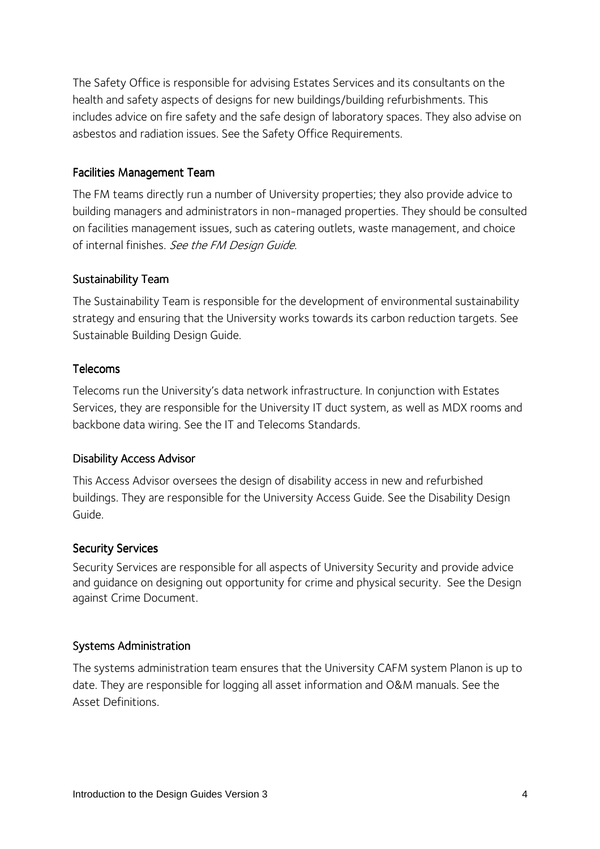The Safety Office is responsible for advising Estates Services and its consultants on the health and safety aspects of designs for new buildings/building refurbishments. This includes advice on fire safety and the safe design of laboratory spaces. They also advise on asbestos and radiation issues. See the Safety Office Requirements.

## Facilities Management Team

The FM teams directly run a number of University properties; they also provide advice to building managers and administrators in non-managed properties. They should be consulted on facilities management issues, such as catering outlets, waste management, and choice of internal finishes. See the FM Design Guide.

### Sustainability Team

The Sustainability Team is responsible for the development of environmental sustainability strategy and ensuring that the University works towards its carbon reduction targets. See Sustainable Building Design Guide.

### Telecoms

Telecoms run the University's data network infrastructure. In conjunction with Estates Services, they are responsible for the University IT duct system, as well as MDX rooms and backbone data wiring. See the IT and Telecoms Standards.

#### Disability Access Advisor

This Access Advisor oversees the design of disability access in new and refurbished buildings. They are responsible for the University Access Guide. See the Disability Design Guide.

# **Security Services**

Security Services are responsible for all aspects of University Security and provide advice and guidance on designing out opportunity for crime and physical security. See the Design against Crime Document.

#### Systems Administration

The systems administration team ensures that the University CAFM system Planon is up to date. They are responsible for logging all asset information and O&M manuals. See the Asset Definitions.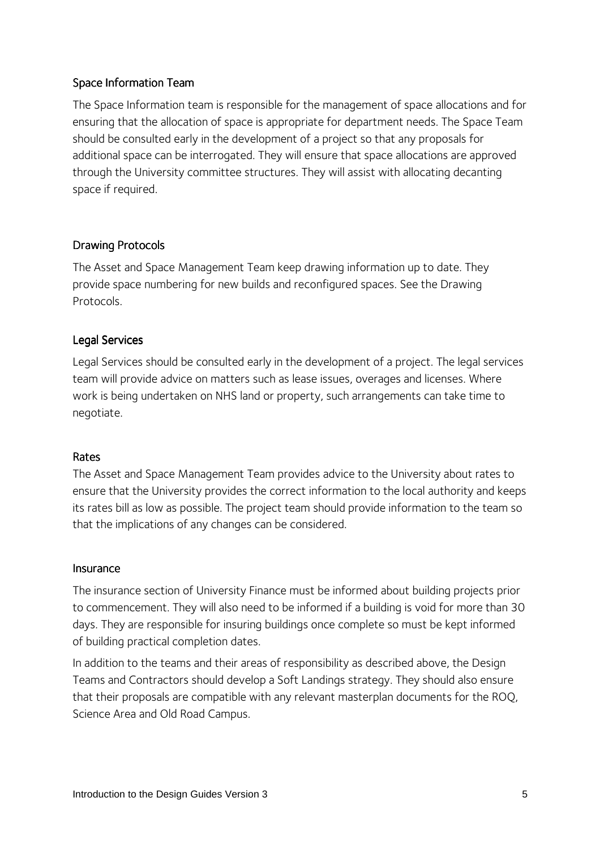## Space Information Team

The Space Information team is responsible for the management of space allocations and for ensuring that the allocation of space is appropriate for department needs. The Space Team should be consulted early in the development of a project so that any proposals for additional space can be interrogated. They will ensure that space allocations are approved through the University committee structures. They will assist with allocating decanting space if required.

### Drawing Protocols

The Asset and Space Management Team keep drawing information up to date. They provide space numbering for new builds and reconfigured spaces. See the Drawing Protocols.

#### Legal Services

Legal Services should be consulted early in the development of a project. The legal services team will provide advice on matters such as lease issues, overages and licenses. Where work is being undertaken on NHS land or property, such arrangements can take time to negotiate.

#### Rates

The Asset and Space Management Team provides advice to the University about rates to ensure that the University provides the correct information to the local authority and keeps its rates bill as low as possible. The project team should provide information to the team so that the implications of any changes can be considered.

#### Insurance

The insurance section of University Finance must be informed about building projects prior to commencement. They will also need to be informed if a building is void for more than 30 days. They are responsible for insuring buildings once complete so must be kept informed of building practical completion dates.

In addition to the teams and their areas of responsibility as described above, the Design Teams and Contractors should develop a Soft Landings strategy. They should also ensure that their proposals are compatible with any relevant masterplan documents for the ROQ, Science Area and Old Road Campus.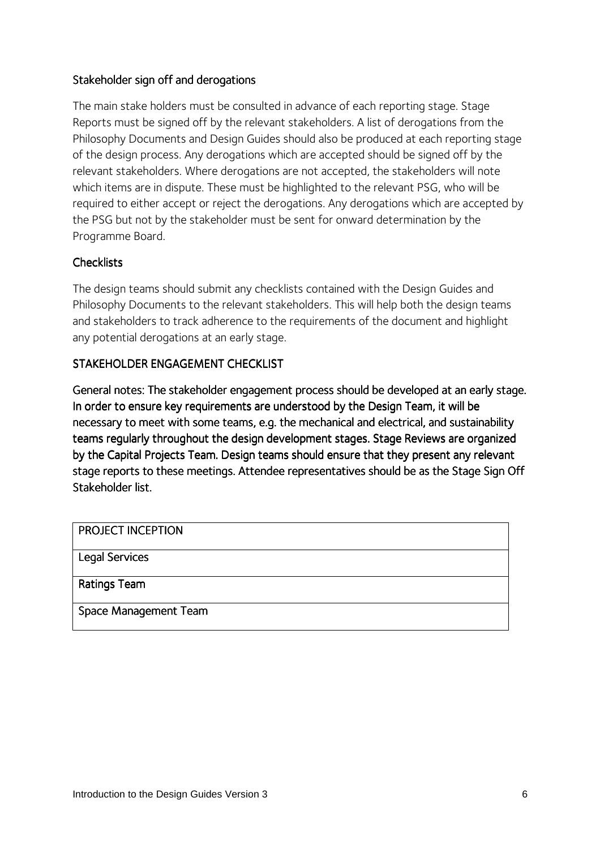# Stakeholder sign off and derogations

The main stake holders must be consulted in advance of each reporting stage. Stage Reports must be signed off by the relevant stakeholders. A list of derogations from the Philosophy Documents and Design Guides should also be produced at each reporting stage of the design process. Any derogations which are accepted should be signed off by the relevant stakeholders. Where derogations are not accepted, the stakeholders will note which items are in dispute. These must be highlighted to the relevant PSG, who will be required to either accept or reject the derogations. Any derogations which are accepted by the PSG but not by the stakeholder must be sent for onward determination by the Programme Board.

# **Checklists**

The design teams should submit any checklists contained with the Design Guides and Philosophy Documents to the relevant stakeholders. This will help both the design teams and stakeholders to track adherence to the requirements of the document and highlight any potential derogations at an early stage.

# STAKEHOLDER ENGAGEMENT CHECKLIST

General notes: The stakeholder engagement process should be developed at an early stage. In order to ensure key requirements are understood by the Design Team, it will be necessary to meet with some teams, e.g. the mechanical and electrical, and sustainability teams regularly throughout the design development stages. Stage Reviews are organized by the Capital Projects Team. Design teams should ensure that they present any relevant stage reports to these meetings. Attendee representatives should be as the Stage Sign Off Stakeholder list.

| <b>PROJECT INCEPTION</b> |  |
|--------------------------|--|
| <b>Legal Services</b>    |  |
| Ratings Team             |  |
| Space Management Team    |  |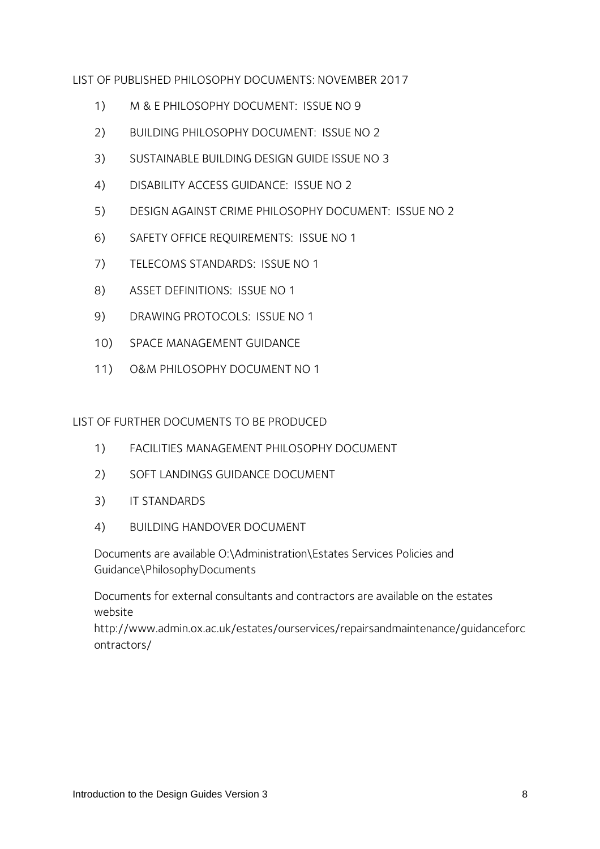LIST OF PUBLISHED PHILOSOPHY DOCUMENTS: NOVEMBER 2017

- 1) M & E PHILOSOPHY DOCUMENT: ISSUE NO 9
- 2) BUILDING PHILOSOPHY DOCUMENT: ISSUE NO 2
- 3) SUSTAINABLE BUILDING DESIGN GUIDE ISSUE NO 3
- 4) DISABILITY ACCESS GUIDANCE: ISSUE NO 2
- 5) DESIGN AGAINST CRIME PHILOSOPHY DOCUMENT: ISSUE NO 2
- 6) SAFETY OFFICE REQUIREMENTS: ISSUE NO 1
- 7) TELECOMS STANDARDS: ISSUE NO 1
- 8) ASSET DEFINITIONS: ISSUE NO 1
- 9) DRAWING PROTOCOLS: ISSUE NO 1
- 10) SPACE MANAGEMENT GUIDANCE
- 11) O&M PHILOSOPHY DOCUMENT NO 1

LIST OF FURTHER DOCUMENTS TO BE PRODUCED

- 1) FACILITIES MANAGEMENT PHILOSOPHY DOCUMENT
- 2) SOFT LANDINGS GUIDANCE DOCUMENT
- 3) IT STANDARDS
- 4) BUILDING HANDOVER DOCUMENT

Documents are available O:\Administration\Estates Services Policies and Guidance\PhilosophyDocuments

Documents for external consultants and contractors are available on the estates website

http://www.admin.ox.ac.uk/estates/ourservices/repairsandmaintenance/guidanceforc ontractors/